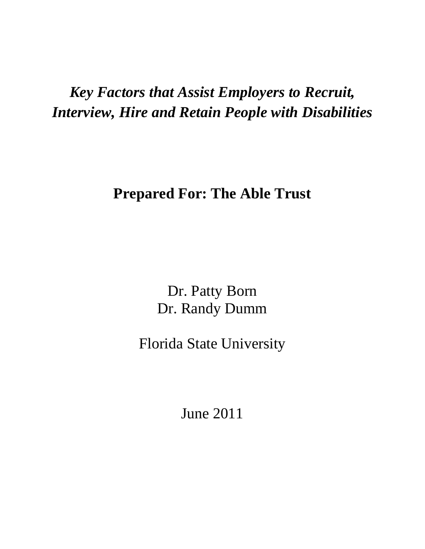# *Key Factors that Assist Employers to Recruit, Interview, Hire and Retain People with Disabilities*

## **Prepared For: The Able Trust**

Dr. Patty Born Dr. Randy Dumm

Florida State University

June 2011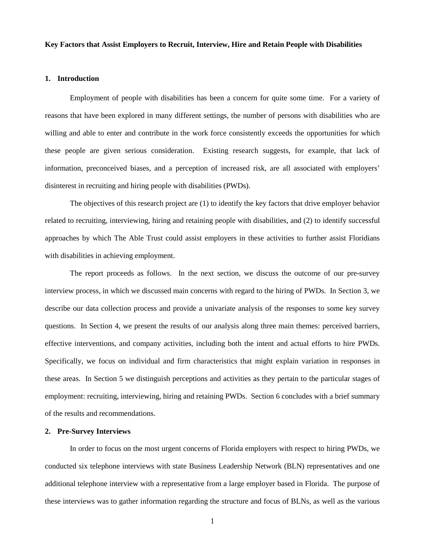### **Key Factors that Assist Employers to Recruit, Interview, Hire and Retain People with Disabilities**

### **1. Introduction**

Employment of people with disabilities has been a concern for quite some time. For a variety of reasons that have been explored in many different settings, the number of persons with disabilities who are willing and able to enter and contribute in the work force consistently exceeds the opportunities for which these people are given serious consideration. Existing research suggests, for example, that lack of information, preconceived biases, and a perception of increased risk, are all associated with employers' disinterest in recruiting and hiring people with disabilities (PWDs).

The objectives of this research project are (1) to identify the key factors that drive employer behavior related to recruiting, interviewing, hiring and retaining people with disabilities, and (2) to identify successful approaches by which The Able Trust could assist employers in these activities to further assist Floridians with disabilities in achieving employment.

The report proceeds as follows. In the next section, we discuss the outcome of our pre-survey interview process, in which we discussed main concerns with regard to the hiring of PWDs. In Section 3, we describe our data collection process and provide a univariate analysis of the responses to some key survey questions. In Section 4, we present the results of our analysis along three main themes: perceived barriers, effective interventions, and company activities, including both the intent and actual efforts to hire PWDs. Specifically, we focus on individual and firm characteristics that might explain variation in responses in these areas. In Section 5 we distinguish perceptions and activities as they pertain to the particular stages of employment: recruiting, interviewing, hiring and retaining PWDs. Section 6 concludes with a brief summary of the results and recommendations.

### **2. Pre-Survey Interviews**

In order to focus on the most urgent concerns of Florida employers with respect to hiring PWDs, we conducted six telephone interviews with state Business Leadership Network (BLN) representatives and one additional telephone interview with a representative from a large employer based in Florida. The purpose of these interviews was to gather information regarding the structure and focus of BLNs, as well as the various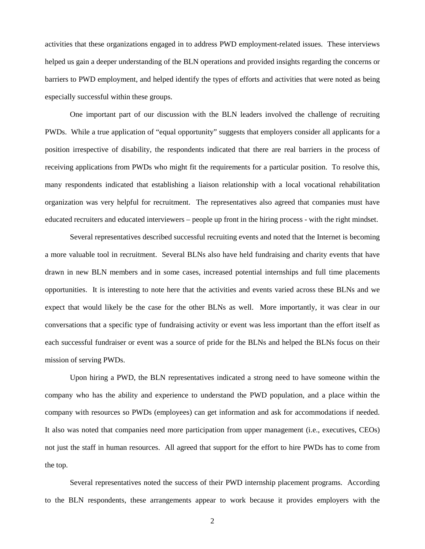activities that these organizations engaged in to address PWD employment-related issues. These interviews helped us gain a deeper understanding of the BLN operations and provided insights regarding the concerns or barriers to PWD employment, and helped identify the types of efforts and activities that were noted as being especially successful within these groups.

One important part of our discussion with the BLN leaders involved the challenge of recruiting PWDs. While a true application of "equal opportunity" suggests that employers consider all applicants for a position irrespective of disability, the respondents indicated that there are real barriers in the process of receiving applications from PWDs who might fit the requirements for a particular position. To resolve this, many respondents indicated that establishing a liaison relationship with a local vocational rehabilitation organization was very helpful for recruitment. The representatives also agreed that companies must have educated recruiters and educated interviewers – people up front in the hiring process - with the right mindset.

Several representatives described successful recruiting events and noted that the Internet is becoming a more valuable tool in recruitment. Several BLNs also have held fundraising and charity events that have drawn in new BLN members and in some cases, increased potential internships and full time placements opportunities. It is interesting to note here that the activities and events varied across these BLNs and we expect that would likely be the case for the other BLNs as well. More importantly, it was clear in our conversations that a specific type of fundraising activity or event was less important than the effort itself as each successful fundraiser or event was a source of pride for the BLNs and helped the BLNs focus on their mission of serving PWDs.

Upon hiring a PWD, the BLN representatives indicated a strong need to have someone within the company who has the ability and experience to understand the PWD population, and a place within the company with resources so PWDs (employees) can get information and ask for accommodations if needed. It also was noted that companies need more participation from upper management (i.e., executives, CEOs) not just the staff in human resources. All agreed that support for the effort to hire PWDs has to come from the top.

Several representatives noted the success of their PWD internship placement programs. According to the BLN respondents, these arrangements appear to work because it provides employers with the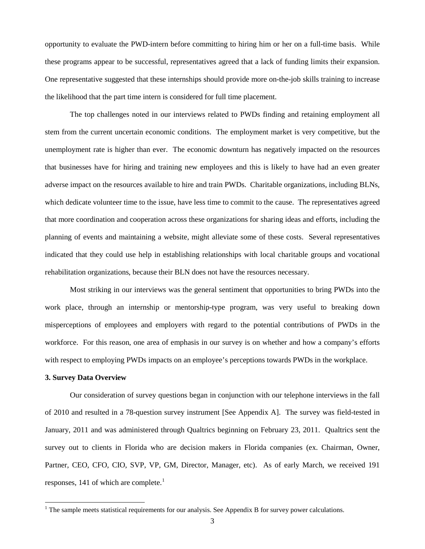opportunity to evaluate the PWD-intern before committing to hiring him or her on a full-time basis. While these programs appear to be successful, representatives agreed that a lack of funding limits their expansion. One representative suggested that these internships should provide more on-the-job skills training to increase the likelihood that the part time intern is considered for full time placement.

The top challenges noted in our interviews related to PWDs finding and retaining employment all stem from the current uncertain economic conditions. The employment market is very competitive, but the unemployment rate is higher than ever. The economic downturn has negatively impacted on the resources that businesses have for hiring and training new employees and this is likely to have had an even greater adverse impact on the resources available to hire and train PWDs. Charitable organizations, including BLNs, which dedicate volunteer time to the issue, have less time to commit to the cause. The representatives agreed that more coordination and cooperation across these organizations for sharing ideas and efforts, including the planning of events and maintaining a website, might alleviate some of these costs. Several representatives indicated that they could use help in establishing relationships with local charitable groups and vocational rehabilitation organizations, because their BLN does not have the resources necessary.

Most striking in our interviews was the general sentiment that opportunities to bring PWDs into the work place, through an internship or mentorship-type program, was very useful to breaking down misperceptions of employees and employers with regard to the potential contributions of PWDs in the workforce. For this reason, one area of emphasis in our survey is on whether and how a company's efforts with respect to employing PWDs impacts on an employee's perceptions towards PWDs in the workplace.

### **3. Survey Data Overview**

Our consideration of survey questions began in conjunction with our telephone interviews in the fall of 2010 and resulted in a 78-question survey instrument [See Appendix A]. The survey was field-tested in January, 2011 and was administered through Qualtrics beginning on February 23, 2011. Qualtrics sent the survey out to clients in Florida who are decision makers in Florida companies (ex. Chairman, Owner, Partner, CEO, CFO, CIO, SVP, VP, GM, Director, Manager, etc). As of early March, we received 191 responses, [1](#page-3-0)41 of which are complete.<sup>1</sup>

<span id="page-3-0"></span> $<sup>1</sup>$  The sample meets statistical requirements for our analysis. See Appendix B for survey power calculations.</sup>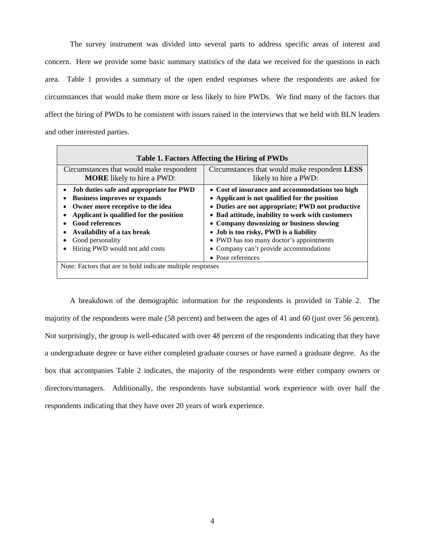The survey instrument was divided into several parts to address specific areas of interest and concern. Here we provide some basic summary statistics of the data we received for the questions in each area. Table 1 provides a summary of the open ended responses where the respondents are asked for circumstances that would make them more or less likely to hire PWDs. We find many of the factors that affect the hiring of PWDs to be consistent with issues raised in the interviews that we held with BLN leaders and other interested parties.

| Table 1. Factors Affecting the Hiring of PWDs                                                                                                                                                                                                                                |                                                                                                                                                                                                                                                                                                                                                                                                           |  |  |  |
|------------------------------------------------------------------------------------------------------------------------------------------------------------------------------------------------------------------------------------------------------------------------------|-----------------------------------------------------------------------------------------------------------------------------------------------------------------------------------------------------------------------------------------------------------------------------------------------------------------------------------------------------------------------------------------------------------|--|--|--|
| Circumstances that would make respondent<br><b>MORE</b> likely to hire a PWD:                                                                                                                                                                                                | Circumstances that would make respondent <b>LESS</b><br>likely to hire a PWD:                                                                                                                                                                                                                                                                                                                             |  |  |  |
| Job duties safe and appropriate for PWD<br><b>Business improves or expands</b><br>Owner more receptive to the idea<br>Applicant is qualified for the position<br><b>Good references</b><br>Availability of a tax break<br>Good personality<br>Hiring PWD would not add costs | • Cost of insurance and accommodations too high<br>• Applicant is not qualified for the position<br>• Duties are not appropriate; PWD not productive<br>• Bad attitude, inability to work with customers<br>• Company downsizing or business slowing<br>• Job is too risky, PWD is a liability<br>• PWD has too many doctor's appointments<br>• Company can't provide accommodations<br>• Poor references |  |  |  |
| Note: Factors that are in bold indicate multiple responses                                                                                                                                                                                                                   |                                                                                                                                                                                                                                                                                                                                                                                                           |  |  |  |

A breakdown of the demographic information for the respondents is provided in Table 2. The majority of the respondents were male (58 percent) and between the ages of 41 and 60 (just over 56 percent). Not surprisingly, the group is well-educated with over 48 percent of the respondents indicating that they have a undergraduate degree or have either completed graduate courses or have earned a graduate degree. As the box that accompanies Table 2 indicates, the majority of the respondents were either company owners or directors/managers. Additionally, the respondents have substantial work experience with over half the respondents indicating that they have over 20 years of work experience.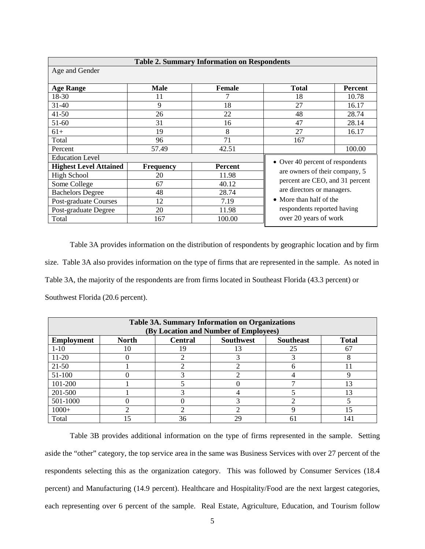| <b>Table 2. Summary Information on Respondents</b> |                  |                |                                  |         |  |  |  |
|----------------------------------------------------|------------------|----------------|----------------------------------|---------|--|--|--|
| Age and Gender                                     |                  |                |                                  |         |  |  |  |
|                                                    |                  |                |                                  |         |  |  |  |
| <b>Age Range</b>                                   | <b>Male</b>      | <b>Female</b>  | <b>Total</b>                     | Percent |  |  |  |
| 18-30                                              | 11               |                | 18                               | 10.78   |  |  |  |
| $31 - 40$                                          | 9                | 18             | 27                               | 16.17   |  |  |  |
| $41 - 50$                                          | 26               | 22             | 48                               | 28.74   |  |  |  |
| $51-60$                                            | 31               | 16             | 47                               | 28.14   |  |  |  |
| $61+$                                              | 19               | 8              | 27                               | 16.17   |  |  |  |
| Total                                              | 96               | 71             | 167                              |         |  |  |  |
| Percent                                            | 57.49            | 42.51          |                                  | 100.00  |  |  |  |
| <b>Education Level</b>                             |                  |                | • Over 40 percent of respondents |         |  |  |  |
| <b>Highest Level Attained</b>                      | <b>Frequency</b> | <b>Percent</b> |                                  |         |  |  |  |
| <b>High School</b>                                 | 20               | 11.98          | are owners of their company, 5   |         |  |  |  |
| Some College                                       | 67               | 40.12          | percent are CEO, and 31 percent  |         |  |  |  |
| <b>Bachelors Degree</b>                            | 48               | 28.74          | are directors or managers.       |         |  |  |  |
| Post-graduate Courses                              | 12               | 7.19           | • More than half of the          |         |  |  |  |
| Post-graduate Degree                               | 20               | 11.98          | respondents reported having      |         |  |  |  |
| Total                                              | 167              | 100.00         | over 20 years of work            |         |  |  |  |

Table 3A provides information on the distribution of respondents by geographic location and by firm size. Table 3A also provides information on the type of firms that are represented in the sample. As noted in Table 3A, the majority of the respondents are from firms located in Southeast Florida (43.3 percent) or Southwest Florida (20.6 percent).

| <b>Table 3A. Summary Information on Organizations</b><br>(By Location and Number of Employees) |                                                                                        |    |    |    |    |  |  |  |  |  |
|------------------------------------------------------------------------------------------------|----------------------------------------------------------------------------------------|----|----|----|----|--|--|--|--|--|
| <b>Employment</b>                                                                              | <b>North</b><br><b>Southwest</b><br><b>Total</b><br><b>Southeast</b><br><b>Central</b> |    |    |    |    |  |  |  |  |  |
| $1-10$                                                                                         | 10                                                                                     | 19 | 13 | 25 | 67 |  |  |  |  |  |
| $11-20$                                                                                        |                                                                                        |    |    |    |    |  |  |  |  |  |
| $21-50$                                                                                        |                                                                                        |    |    |    |    |  |  |  |  |  |
| 51-100                                                                                         |                                                                                        |    |    |    |    |  |  |  |  |  |
| 101-200                                                                                        |                                                                                        |    |    |    | 13 |  |  |  |  |  |
| 201-500                                                                                        |                                                                                        | 3  |    |    | 13 |  |  |  |  |  |
| 501-1000                                                                                       |                                                                                        |    |    |    |    |  |  |  |  |  |
| $1000+$                                                                                        |                                                                                        |    |    |    | 15 |  |  |  |  |  |
| Total                                                                                          |                                                                                        | 36 | 29 |    | 14 |  |  |  |  |  |

Table 3B provides additional information on the type of firms represented in the sample. Setting aside the "other" category, the top service area in the same was Business Services with over 27 percent of the respondents selecting this as the organization category. This was followed by Consumer Services (18.4 percent) and Manufacturing (14.9 percent). Healthcare and Hospitality/Food are the next largest categories, each representing over 6 percent of the sample. Real Estate, Agriculture, Education, and Tourism follow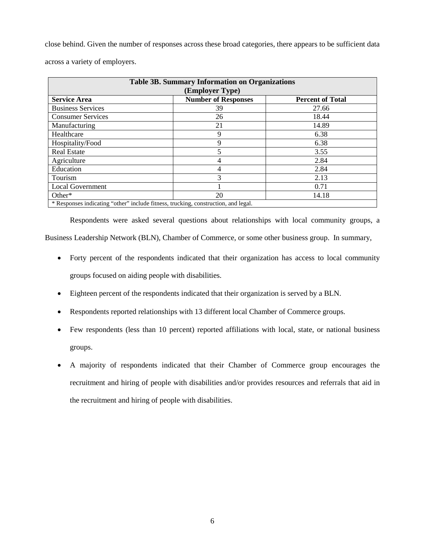close behind. Given the number of responses across these broad categories, there appears to be sufficient data across a variety of employers.

| <b>Table 3B. Summary Information on Organizations</b><br>(Employer Type)           |    |       |  |  |  |  |  |
|------------------------------------------------------------------------------------|----|-------|--|--|--|--|--|
| <b>Number of Responses</b><br><b>Service Area</b><br><b>Percent of Total</b>       |    |       |  |  |  |  |  |
| <b>Business Services</b>                                                           | 39 | 27.66 |  |  |  |  |  |
| <b>Consumer Services</b>                                                           | 26 | 18.44 |  |  |  |  |  |
| Manufacturing                                                                      | 21 | 14.89 |  |  |  |  |  |
| Healthcare                                                                         | 9  | 6.38  |  |  |  |  |  |
| Hospitality/Food                                                                   | 9  | 6.38  |  |  |  |  |  |
| <b>Real Estate</b>                                                                 |    | 3.55  |  |  |  |  |  |
| Agriculture                                                                        |    | 2.84  |  |  |  |  |  |
| Education                                                                          |    | 2.84  |  |  |  |  |  |
| Tourism                                                                            | 3  | 2.13  |  |  |  |  |  |
| <b>Local Government</b>                                                            |    | 0.71  |  |  |  |  |  |
| $Other*$                                                                           | 20 | 14.18 |  |  |  |  |  |
| * Responses indicating "other" include fitness, trucking, construction, and legal. |    |       |  |  |  |  |  |

Respondents were asked several questions about relationships with local community groups, a Business Leadership Network (BLN), Chamber of Commerce, or some other business group. In summary,

- Forty percent of the respondents indicated that their organization has access to local community groups focused on aiding people with disabilities.
- Eighteen percent of the respondents indicated that their organization is served by a BLN.
- Respondents reported relationships with 13 different local Chamber of Commerce groups.
- Few respondents (less than 10 percent) reported affiliations with local, state, or national business groups.
- A majority of respondents indicated that their Chamber of Commerce group encourages the recruitment and hiring of people with disabilities and/or provides resources and referrals that aid in the recruitment and hiring of people with disabilities.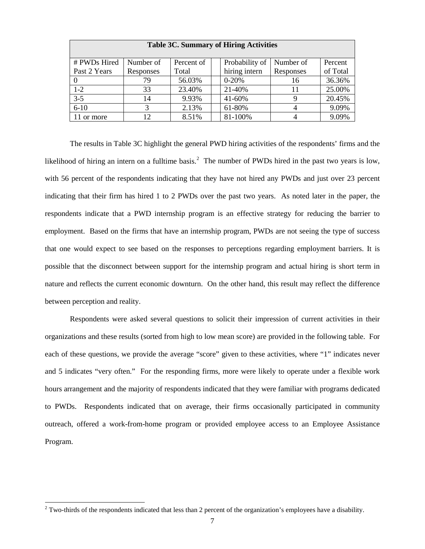| <b>Table 3C. Summary of Hiring Activities</b> |           |            |           |                |           |          |  |
|-----------------------------------------------|-----------|------------|-----------|----------------|-----------|----------|--|
| # PWDs Hired                                  | Number of | Percent of |           | Probability of | Number of | Percent  |  |
| Past 2 Years                                  | Responses | Total      |           | hiring intern  | Responses | of Total |  |
|                                               | 79        | 56.03%     | $0 - 20%$ |                | 16        | 36.36%   |  |
| $1-2$                                         | 33        | 23.40%     | 21-40%    |                |           | 25.00%   |  |
| $3 - 5$                                       | 14        | 9.93%      | 41-60%    |                |           | 20.45%   |  |
| $6 - 10$                                      | 3         | 2.13%      | 61-80%    |                |           | 9.09%    |  |
| or more                                       | 12        | 8.51%      |           | 81-100%        |           | 9.09%    |  |

The results in Table 3C highlight the general PWD hiring activities of the respondents' firms and the likelihood of hiring an intern on a fulltime basis.<sup>[2](#page-7-0)</sup> The number of PWDs hired in the past two years is low, with 56 percent of the respondents indicating that they have not hired any PWDs and just over 23 percent indicating that their firm has hired 1 to 2 PWDs over the past two years. As noted later in the paper, the respondents indicate that a PWD internship program is an effective strategy for reducing the barrier to employment. Based on the firms that have an internship program, PWDs are not seeing the type of success that one would expect to see based on the responses to perceptions regarding employment barriers. It is possible that the disconnect between support for the internship program and actual hiring is short term in nature and reflects the current economic downturn. On the other hand, this result may reflect the difference between perception and reality.

Respondents were asked several questions to solicit their impression of current activities in their organizations and these results (sorted from high to low mean score) are provided in the following table. For each of these questions, we provide the average "score" given to these activities, where "1" indicates never and 5 indicates "very often." For the responding firms, more were likely to operate under a flexible work hours arrangement and the majority of respondents indicated that they were familiar with programs dedicated to PWDs. Respondents indicated that on average, their firms occasionally participated in community outreach, offered a work-from-home program or provided employee access to an Employee Assistance Program.

<span id="page-7-0"></span> $2$  Two-thirds of the respondents indicated that less than 2 percent of the organization's employees have a disability.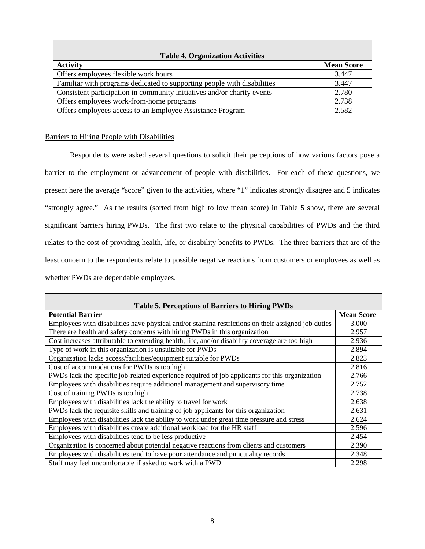| <b>Table 4. Organization Activities</b>                                 |                   |
|-------------------------------------------------------------------------|-------------------|
| <b>Activity</b>                                                         | <b>Mean Score</b> |
| Offers employees flexible work hours                                    | 3.447             |
| Familiar with programs dedicated to supporting people with disabilities | 3.447             |
| Consistent participation in community initiatives and/or charity events | 2.780             |
| Offers employees work-from-home programs                                | 2.738             |
| Offers employees access to an Employee Assistance Program               | 2.582             |

### Barriers to Hiring People with Disabilities

Respondents were asked several questions to solicit their perceptions of how various factors pose a barrier to the employment or advancement of people with disabilities. For each of these questions, we present here the average "score" given to the activities, where "1" indicates strongly disagree and 5 indicates "strongly agree." As the results (sorted from high to low mean score) in Table 5 show, there are several significant barriers hiring PWDs. The first two relate to the physical capabilities of PWDs and the third relates to the cost of providing health, life, or disability benefits to PWDs. The three barriers that are of the least concern to the respondents relate to possible negative reactions from customers or employees as well as whether PWDs are dependable employees.

| <b>Table 5. Perceptions of Barriers to Hiring PWDs</b>                                             |                   |
|----------------------------------------------------------------------------------------------------|-------------------|
| <b>Potential Barrier</b>                                                                           | <b>Mean Score</b> |
| Employees with disabilities have physical and/or stamina restrictions on their assigned job duties | 3.000             |
| There are health and safety concerns with hiring PWDs in this organization                         | 2.957             |
| Cost increases attributable to extending health, life, and/or disability coverage are too high     | 2.936             |
| Type of work in this organization is unsuitable for PWDs                                           | 2.894             |
| Organization lacks access/facilities/equipment suitable for PWDs                                   | 2.823             |
| Cost of accommodations for PWDs is too high                                                        | 2.816             |
| PWDs lack the specific job-related experience required of job applicants for this organization     | 2.766             |
| Employees with disabilities require additional management and supervisory time                     | 2.752             |
| Cost of training PWDs is too high                                                                  | 2.738             |
| Employees with disabilities lack the ability to travel for work                                    | 2.638             |
| PWDs lack the requisite skills and training of job applicants for this organization                | 2.631             |
| Employees with disabilities lack the ability to work under great time pressure and stress          | 2.624             |
| Employees with disabilities create additional workload for the HR staff                            | 2.596             |
| Employees with disabilities tend to be less productive                                             | 2.454             |
| Organization is concerned about potential negative reactions from clients and customers            | 2.390             |
| Employees with disabilities tend to have poor attendance and punctuality records                   | 2.348             |
| Staff may feel uncomfortable if asked to work with a PWD                                           | 2.298             |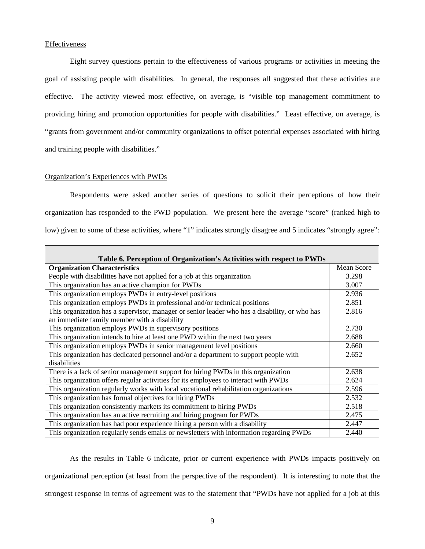### **Effectiveness**

Г

Eight survey questions pertain to the effectiveness of various programs or activities in meeting the goal of assisting people with disabilities. In general, the responses all suggested that these activities are effective. The activity viewed most effective, on average, is "visible top management commitment to providing hiring and promotion opportunities for people with disabilities." Least effective, on average, is "grants from government and/or community organizations to offset potential expenses associated with hiring and training people with disabilities."

### Organization's Experiences with PWDs

Respondents were asked another series of questions to solicit their perceptions of how their organization has responded to the PWD population. We present here the average "score" (ranked high to low) given to some of these activities, where "1" indicates strongly disagree and 5 indicates "strongly agree":

| Table 6. Perception of Organization's Activities with respect to PWDs                                                                         |            |  |  |  |  |  |
|-----------------------------------------------------------------------------------------------------------------------------------------------|------------|--|--|--|--|--|
| <b>Organization Characteristics</b>                                                                                                           | Mean Score |  |  |  |  |  |
| People with disabilities have not applied for a job at this organization                                                                      | 3.298      |  |  |  |  |  |
| This organization has an active champion for PWDs                                                                                             | 3.007      |  |  |  |  |  |
| This organization employs PWDs in entry-level positions                                                                                       | 2.936      |  |  |  |  |  |
| This organization employs PWDs in professional and/or technical positions                                                                     | 2.851      |  |  |  |  |  |
| This organization has a supervisor, manager or senior leader who has a disability, or who has<br>an immediate family member with a disability | 2.816      |  |  |  |  |  |
| This organization employs PWDs in supervisory positions                                                                                       | 2.730      |  |  |  |  |  |
| This organization intends to hire at least one PWD within the next two years                                                                  | 2.688      |  |  |  |  |  |
| This organization employs PWDs in senior management level positions                                                                           | 2.660      |  |  |  |  |  |
| This organization has dedicated personnel and/or a department to support people with<br>disabilities                                          | 2.652      |  |  |  |  |  |
| There is a lack of senior management support for hiring PWDs in this organization                                                             | 2.638      |  |  |  |  |  |
| This organization offers regular activities for its employees to interact with PWDs                                                           | 2.624      |  |  |  |  |  |
| This organization regularly works with local vocational rehabilitation organizations                                                          | 2.596      |  |  |  |  |  |
| This organization has formal objectives for hiring PWDs                                                                                       | 2.532      |  |  |  |  |  |
| This organization consistently markets its commitment to hiring PWDs                                                                          | 2.518      |  |  |  |  |  |
| This organization has an active recruiting and hiring program for PWDs                                                                        | 2.475      |  |  |  |  |  |
| This organization has had poor experience hiring a person with a disability                                                                   | 2.447      |  |  |  |  |  |
| This organization regularly sends emails or newsletters with information regarding PWDs                                                       | 2.440      |  |  |  |  |  |

As the results in Table 6 indicate, prior or current experience with PWDs impacts positively on organizational perception (at least from the perspective of the respondent). It is interesting to note that the strongest response in terms of agreement was to the statement that "PWDs have not applied for a job at this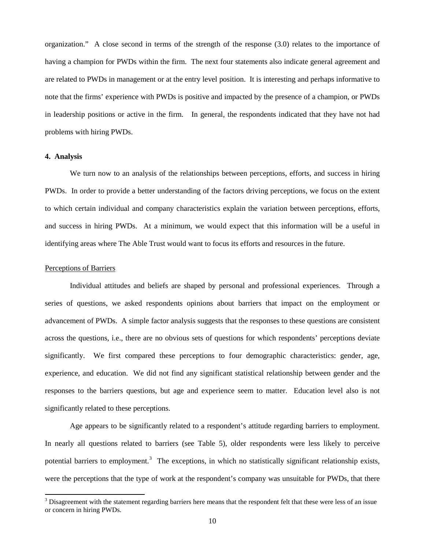organization." A close second in terms of the strength of the response (3.0) relates to the importance of having a champion for PWDs within the firm. The next four statements also indicate general agreement and are related to PWDs in management or at the entry level position. It is interesting and perhaps informative to note that the firms' experience with PWDs is positive and impacted by the presence of a champion, or PWDs in leadership positions or active in the firm. In general, the respondents indicated that they have not had problems with hiring PWDs.

### **4. Analysis**

We turn now to an analysis of the relationships between perceptions, efforts, and success in hiring PWDs. In order to provide a better understanding of the factors driving perceptions, we focus on the extent to which certain individual and company characteristics explain the variation between perceptions, efforts, and success in hiring PWDs. At a minimum, we would expect that this information will be a useful in identifying areas where The Able Trust would want to focus its efforts and resources in the future.

### Perceptions of Barriers

Individual attitudes and beliefs are shaped by personal and professional experiences. Through a series of questions, we asked respondents opinions about barriers that impact on the employment or advancement of PWDs. A simple factor analysis suggests that the responses to these questions are consistent across the questions, i.e., there are no obvious sets of questions for which respondents' perceptions deviate significantly. We first compared these perceptions to four demographic characteristics: gender, age, experience, and education. We did not find any significant statistical relationship between gender and the responses to the barriers questions, but age and experience seem to matter. Education level also is not significantly related to these perceptions.

Age appears to be significantly related to a respondent's attitude regarding barriers to employment. In nearly all questions related to barriers (see Table 5), older respondents were less likely to perceive potential barriers to employment.<sup>[3](#page-10-0)</sup> The exceptions, in which no statistically significant relationship exists, were the perceptions that the type of work at the respondent's company was unsuitable for PWDs, that there

<span id="page-10-0"></span> $3$  Disagreement with the statement regarding barriers here means that the respondent felt that these were less of an issue or concern in hiring PWDs.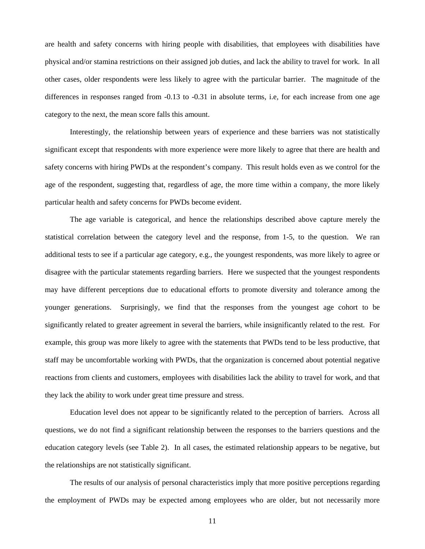are health and safety concerns with hiring people with disabilities, that employees with disabilities have physical and/or stamina restrictions on their assigned job duties, and lack the ability to travel for work. In all other cases, older respondents were less likely to agree with the particular barrier. The magnitude of the differences in responses ranged from -0.13 to -0.31 in absolute terms, i.e, for each increase from one age category to the next, the mean score falls this amount.

Interestingly, the relationship between years of experience and these barriers was not statistically significant except that respondents with more experience were more likely to agree that there are health and safety concerns with hiring PWDs at the respondent's company. This result holds even as we control for the age of the respondent, suggesting that, regardless of age, the more time within a company, the more likely particular health and safety concerns for PWDs become evident.

The age variable is categorical, and hence the relationships described above capture merely the statistical correlation between the category level and the response, from 1-5, to the question. We ran additional tests to see if a particular age category, e.g., the youngest respondents, was more likely to agree or disagree with the particular statements regarding barriers. Here we suspected that the youngest respondents may have different perceptions due to educational efforts to promote diversity and tolerance among the younger generations. Surprisingly, we find that the responses from the youngest age cohort to be significantly related to greater agreement in several the barriers, while insignificantly related to the rest. For example, this group was more likely to agree with the statements that PWDs tend to be less productive, that staff may be uncomfortable working with PWDs, that the organization is concerned about potential negative reactions from clients and customers, employees with disabilities lack the ability to travel for work, and that they lack the ability to work under great time pressure and stress.

Education level does not appear to be significantly related to the perception of barriers. Across all questions, we do not find a significant relationship between the responses to the barriers questions and the education category levels (see Table 2). In all cases, the estimated relationship appears to be negative, but the relationships are not statistically significant.

The results of our analysis of personal characteristics imply that more positive perceptions regarding the employment of PWDs may be expected among employees who are older, but not necessarily more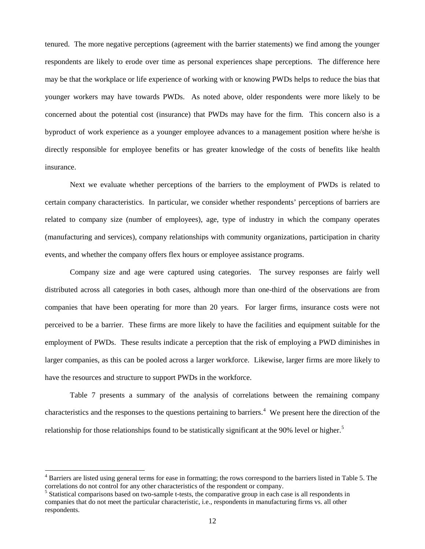tenured. The more negative perceptions (agreement with the barrier statements) we find among the younger respondents are likely to erode over time as personal experiences shape perceptions. The difference here may be that the workplace or life experience of working with or knowing PWDs helps to reduce the bias that younger workers may have towards PWDs. As noted above, older respondents were more likely to be concerned about the potential cost (insurance) that PWDs may have for the firm. This concern also is a byproduct of work experience as a younger employee advances to a management position where he/she is directly responsible for employee benefits or has greater knowledge of the costs of benefits like health insurance.

Next we evaluate whether perceptions of the barriers to the employment of PWDs is related to certain company characteristics. In particular, we consider whether respondents' perceptions of barriers are related to company size (number of employees), age, type of industry in which the company operates (manufacturing and services), company relationships with community organizations, participation in charity events, and whether the company offers flex hours or employee assistance programs.

Company size and age were captured using categories. The survey responses are fairly well distributed across all categories in both cases, although more than one-third of the observations are from companies that have been operating for more than 20 years. For larger firms, insurance costs were not perceived to be a barrier. These firms are more likely to have the facilities and equipment suitable for the employment of PWDs. These results indicate a perception that the risk of employing a PWD diminishes in larger companies, as this can be pooled across a larger workforce. Likewise, larger firms are more likely to have the resources and structure to support PWDs in the workforce.

Table 7 presents a summary of the analysis of correlations between the remaining company characteristics and the responses to the questions pertaining to barriers.<sup>[4](#page-12-0)</sup> We present here the direction of the relationship for those relationships found to be statistically significant at the 90% level or higher.<sup>[5](#page-12-1)</sup>

<span id="page-12-0"></span> $4$  Barriers are listed using general terms for ease in formatting; the rows correspond to the barriers listed in Table 5. The correlations do not control for any other characteristics of the respondent or company.

<span id="page-12-1"></span><sup>&</sup>lt;sup>5</sup> Statistical comparisons based on two-sample t-tests, the comparative group in each case is all respondents in companies that do not meet the particular characteristic, i.e., respondents in manufacturing firms vs. all other respondents.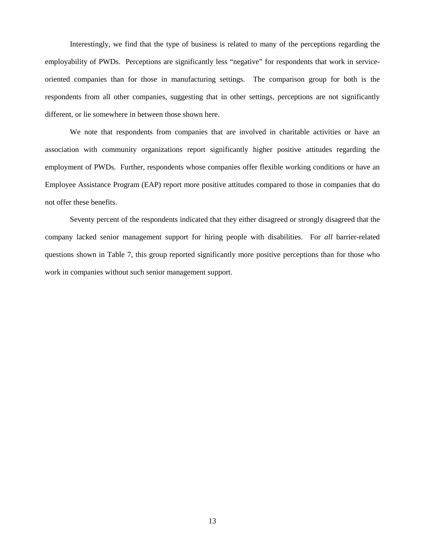Interestingly, we find that the type of business is related to many of the perceptions regarding the employability of PWDs. Perceptions are significantly less "negative" for respondents that work in serviceoriented companies than for those in manufacturing settings. The comparison group for both is the respondents from all other companies, suggesting that in other settings, perceptions are not significantly different, or lie somewhere in between those shown here.

We note that respondents from companies that are involved in charitable activities or have an association with community organizations report significantly higher positive attitudes regarding the employment of PWDs. Further, respondents whose companies offer flexible working conditions or have an Employee Assistance Program (EAP) report more positive attitudes compared to those in companies that do not offer these benefits.

Seventy percent of the respondents indicated that they either disagreed or strongly disagreed that the company lacked senior management support for hiring people with disabilities. For *all* barrier-related questions shown in Table 7, this group reported significantly more positive perceptions than for those who work in companies without such senior management support.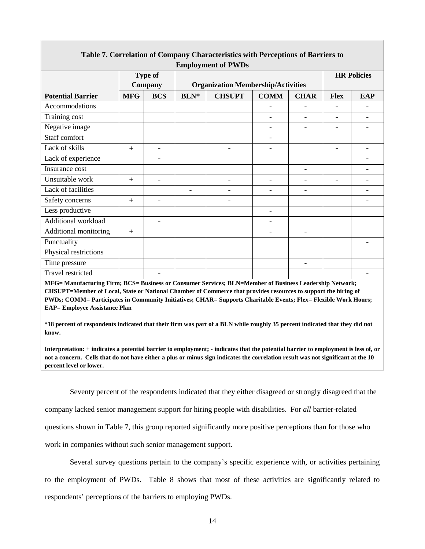| <b>Employment of PWDs</b>                                                                                                                                                                                                                                                                                                                                                             |            |                          |             |                                           |                          |             |                          |                    |
|---------------------------------------------------------------------------------------------------------------------------------------------------------------------------------------------------------------------------------------------------------------------------------------------------------------------------------------------------------------------------------------|------------|--------------------------|-------------|-------------------------------------------|--------------------------|-------------|--------------------------|--------------------|
|                                                                                                                                                                                                                                                                                                                                                                                       |            | <b>Type of</b>           |             |                                           |                          |             |                          | <b>HR Policies</b> |
|                                                                                                                                                                                                                                                                                                                                                                                       |            | Company                  |             | <b>Organization Membership/Activities</b> |                          |             |                          |                    |
| <b>Potential Barrier</b>                                                                                                                                                                                                                                                                                                                                                              | <b>MFG</b> | <b>BCS</b>               | <b>BLN*</b> | <b>CHSUPT</b>                             | <b>COMM</b>              | <b>CHAR</b> | <b>Flex</b>              | <b>EAP</b>         |
| Accommodations                                                                                                                                                                                                                                                                                                                                                                        |            |                          |             |                                           |                          |             |                          |                    |
| Training cost                                                                                                                                                                                                                                                                                                                                                                         |            |                          |             |                                           |                          |             |                          |                    |
| Negative image                                                                                                                                                                                                                                                                                                                                                                        |            |                          |             |                                           | $\overline{\phantom{a}}$ |             | $\overline{\phantom{a}}$ | $\overline{a}$     |
| Staff comfort                                                                                                                                                                                                                                                                                                                                                                         |            |                          |             |                                           | $\overline{\phantom{a}}$ |             |                          |                    |
| Lack of skills                                                                                                                                                                                                                                                                                                                                                                        | $+$        |                          |             |                                           |                          |             |                          |                    |
| Lack of experience                                                                                                                                                                                                                                                                                                                                                                    |            |                          |             |                                           |                          |             |                          |                    |
| Insurance cost                                                                                                                                                                                                                                                                                                                                                                        |            |                          |             |                                           |                          |             |                          |                    |
| Unsuitable work                                                                                                                                                                                                                                                                                                                                                                       | $+$        | $\overline{\phantom{a}}$ |             | $\overline{\phantom{a}}$                  | $\overline{\phantom{a}}$ | ۳           | $\overline{a}$           | ۳                  |
| Lack of facilities                                                                                                                                                                                                                                                                                                                                                                    |            |                          |             |                                           |                          |             |                          |                    |
| Safety concerns                                                                                                                                                                                                                                                                                                                                                                       | $+$        |                          |             |                                           |                          |             |                          |                    |
| Less productive                                                                                                                                                                                                                                                                                                                                                                       |            |                          |             |                                           |                          |             |                          |                    |
| Additional workload                                                                                                                                                                                                                                                                                                                                                                   |            |                          |             |                                           |                          |             |                          |                    |
| Additional monitoring                                                                                                                                                                                                                                                                                                                                                                 | $+$        |                          |             |                                           | $\overline{\phantom{0}}$ |             |                          |                    |
| Punctuality                                                                                                                                                                                                                                                                                                                                                                           |            |                          |             |                                           |                          |             |                          |                    |
| Physical restrictions                                                                                                                                                                                                                                                                                                                                                                 |            |                          |             |                                           |                          |             |                          |                    |
| Time pressure                                                                                                                                                                                                                                                                                                                                                                         |            |                          |             |                                           |                          |             |                          |                    |
| <b>Travel restricted</b>                                                                                                                                                                                                                                                                                                                                                              |            |                          |             |                                           |                          |             |                          |                    |
| MFG= Manufacturing Firm; BCS= Business or Consumer Services; BLN=Member of Business Leadership Network;<br>CHSUPT=Member of Local, State or National Chamber of Commerce that provides resources to support the hiring of<br>PWDs; COMM= Participates in Community Initiatives; CHAR= Supports Charitable Events; Flex= Flexible Work Hours;<br><b>EAP</b> = Employee Assistance Plan |            |                          |             |                                           |                          |             |                          |                    |
| *18 percent of respondents indicated that their firm was part of a BLN while roughly 35 percent indicated that they did not<br>know.                                                                                                                                                                                                                                                  |            |                          |             |                                           |                          |             |                          |                    |

# **Table 7. Correlation of Company Characteristics with Perceptions of Barriers to**

**Interpretation: + indicates a potential barrier to employment; - indicates that the potential barrier to employment is less of, or not a concern. Cells that do not have either a plus or minus sign indicates the correlation result was not significant at the 10 percent level or lower.**

Seventy percent of the respondents indicated that they either disagreed or strongly disagreed that the company lacked senior management support for hiring people with disabilities. For *all* barrier-related questions shown in Table 7, this group reported significantly more positive perceptions than for those who work in companies without such senior management support.

Several survey questions pertain to the company's specific experience with, or activities pertaining to the employment of PWDs. Table 8 shows that most of these activities are significantly related to respondents' perceptions of the barriers to employing PWDs.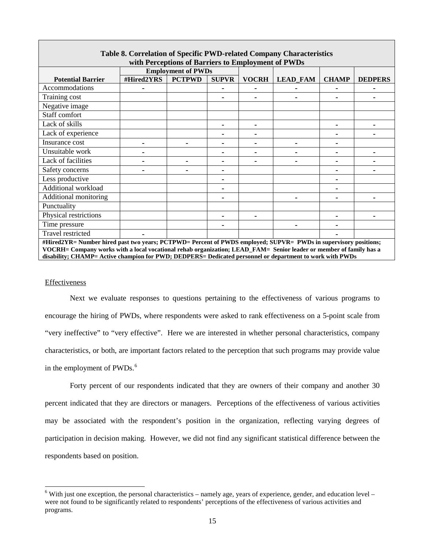| Table 8. Correlation of Specific PWD-related Company Characteristics                                            |                                                                                                                    |                           |              |              |                 |              |                |
|-----------------------------------------------------------------------------------------------------------------|--------------------------------------------------------------------------------------------------------------------|---------------------------|--------------|--------------|-----------------|--------------|----------------|
| with Perceptions of Barriers to Employment of PWDs                                                              |                                                                                                                    |                           |              |              |                 |              |                |
|                                                                                                                 |                                                                                                                    | <b>Employment of PWDs</b> |              |              |                 |              |                |
| <b>Potential Barrier</b>                                                                                        | #Hired2YRS                                                                                                         | <b>PCTPWD</b>             | <b>SUPVR</b> | <b>VOCRH</b> | <b>LEAD_FAM</b> | <b>CHAMP</b> | <b>DEDPERS</b> |
| Accommodations                                                                                                  |                                                                                                                    |                           |              |              |                 |              |                |
| Training cost                                                                                                   |                                                                                                                    |                           |              |              |                 |              |                |
| Negative image                                                                                                  |                                                                                                                    |                           |              |              |                 |              |                |
| Staff comfort                                                                                                   |                                                                                                                    |                           |              |              |                 |              |                |
| Lack of skills                                                                                                  |                                                                                                                    |                           |              |              |                 |              |                |
| Lack of experience                                                                                              |                                                                                                                    |                           |              |              |                 |              |                |
| Insurance cost                                                                                                  |                                                                                                                    |                           |              |              |                 |              |                |
| Unsuitable work                                                                                                 |                                                                                                                    |                           |              |              |                 |              |                |
| Lack of facilities                                                                                              |                                                                                                                    |                           |              |              |                 |              |                |
| Safety concerns                                                                                                 |                                                                                                                    |                           |              |              |                 |              |                |
| Less productive                                                                                                 |                                                                                                                    |                           |              |              |                 |              |                |
| Additional workload                                                                                             |                                                                                                                    |                           |              |              |                 |              |                |
| Additional monitoring                                                                                           |                                                                                                                    |                           |              |              |                 |              |                |
| Punctuality                                                                                                     |                                                                                                                    |                           |              |              |                 |              |                |
| Physical restrictions                                                                                           |                                                                                                                    |                           |              |              |                 |              |                |
| Time pressure                                                                                                   |                                                                                                                    |                           |              |              |                 |              |                |
| Travel restricted                                                                                               |                                                                                                                    |                           |              |              |                 |              |                |
| #Hired2YR= Number hired past two years; PCTPWD= Percent of PWDS employed; SUPVR= PWDs in supervisory positions; |                                                                                                                    |                           |              |              |                 |              |                |
|                                                                                                                 | VOCRH= Company works with a local vocational rehab organization; LEAD_FAM= Senior leader or member of family has a |                           |              |              |                 |              |                |
| disability; CHAMP= Active champion for PWD; DEDPERS= Dedicated personnel or department to work with PWDs        |                                                                                                                    |                           |              |              |                 |              |                |

### Effectiveness

Next we evaluate responses to questions pertaining to the effectiveness of various programs to encourage the hiring of PWDs, where respondents were asked to rank effectiveness on a 5-point scale from "very ineffective" to "very effective". Here we are interested in whether personal characteristics, company characteristics, or both, are important factors related to the perception that such programs may provide value in the employment of PWDs.<sup>[6](#page-15-0)</sup>

Forty percent of our respondents indicated that they are owners of their company and another 30 percent indicated that they are directors or managers. Perceptions of the effectiveness of various activities may be associated with the respondent's position in the organization, reflecting varying degrees of participation in decision making. However, we did not find any significant statistical difference between the respondents based on position.

<span id="page-15-0"></span> $6$  With just one exception, the personal characteristics – namely age, years of experience, gender, and education level – were not found to be significantly related to respondents' perceptions of the effectiveness of various activities and programs.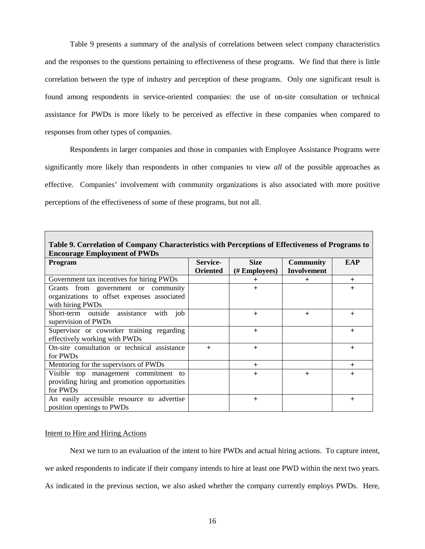Table 9 presents a summary of the analysis of correlations between select company characteristics and the responses to the questions pertaining to effectiveness of these programs. We find that there is little correlation between the type of industry and perception of these programs. Only one significant result is found among respondents in service-oriented companies: the use of on-site consultation or technical assistance for PWDs is more likely to be perceived as effective in these companies when compared to responses from other types of companies.

Respondents in larger companies and those in companies with Employee Assistance Programs were significantly more likely than respondents in other companies to view *all* of the possible approaches as effective. Companies' involvement with community organizations is also associated with more positive perceptions of the effectiveness of some of these programs, but not all.

| Table 9. Correlation of Company Characteristics with Perceptions of Effectiveness of Programs to       |                             |                              |                                        |           |  |  |  |  |
|--------------------------------------------------------------------------------------------------------|-----------------------------|------------------------------|----------------------------------------|-----------|--|--|--|--|
| <b>Encourage Employment of PWDs</b><br><b>EAP</b>                                                      |                             |                              |                                        |           |  |  |  |  |
| Program                                                                                                | Service-<br><b>Oriented</b> | <b>Size</b><br>(# Employees) | <b>Community</b><br><b>Involvement</b> |           |  |  |  |  |
| Government tax incentives for hiring PWDs                                                              |                             | ┿                            | $\ddot{}$                              | $\ddot{}$ |  |  |  |  |
| Grants from government or community<br>organizations to offset expenses associated<br>with hiring PWDs |                             | $+$                          |                                        | $\ddot{}$ |  |  |  |  |
| Short-term outside assistance<br>job<br>with<br>supervision of PWDs                                    |                             | $+$                          | $+$                                    | $\ddot{}$ |  |  |  |  |
| Supervisor or coworker training regarding<br>effectively working with PWDs                             |                             | $+$                          |                                        | $\ddot{}$ |  |  |  |  |
| On-site consultation or technical assistance<br>for PWDs                                               | $+$                         | $+$                          |                                        | $+$       |  |  |  |  |
| Mentoring for the supervisors of PWDs                                                                  |                             | $+$                          |                                        | $+$       |  |  |  |  |
| Visible top management commitment to<br>providing hiring and promotion opportunities<br>for PWDs       |                             | $+$                          | $\overline{+}$                         | $\ddot{}$ |  |  |  |  |
| An easily accessible resource to advertise<br>position openings to PWDs                                |                             | $\ddot{}$                    |                                        | $\pm$     |  |  |  |  |

#### Intent to Hire and Hiring Actions

Next we turn to an evaluation of the intent to hire PWDs and actual hiring actions. To capture intent, we asked respondents to indicate if their company intends to hire at least one PWD within the next two years. As indicated in the previous section, we also asked whether the company currently employs PWDs. Here,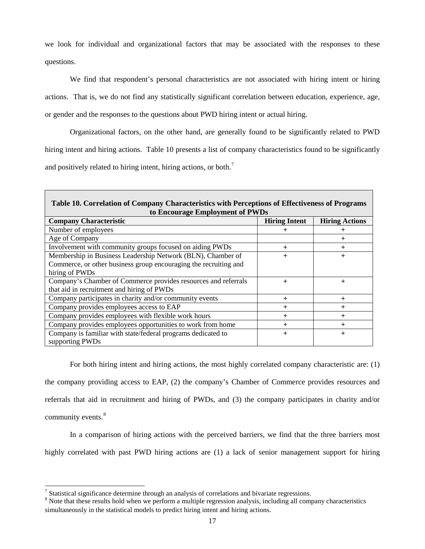we look for individual and organizational factors that may be associated with the responses to these questions.

We find that respondent's personal characteristics are not associated with hiring intent or hiring actions. That is, we do not find any statistically significant correlation between education, experience, age, or gender and the responses to the questions about PWD hiring intent or actual hiring.

Organizational factors, on the other hand, are generally found to be significantly related to PWD hiring intent and hiring actions. Table 10 presents a list of company characteristics found to be significantly and positively related to hiring intent, hiring actions, or both.<sup>[7](#page-17-0)</sup>

| Table 10. Correlation of Company Characteristics with Perceptions of Effectiveness of Programs<br>to Encourage Employment of PWDs |                      |                       |  |  |  |  |  |
|-----------------------------------------------------------------------------------------------------------------------------------|----------------------|-----------------------|--|--|--|--|--|
| <b>Company Characteristic</b>                                                                                                     | <b>Hiring Intent</b> | <b>Hiring Actions</b> |  |  |  |  |  |
| Number of employees                                                                                                               |                      |                       |  |  |  |  |  |
| Age of Company                                                                                                                    |                      | ┿                     |  |  |  |  |  |
| Involvement with community groups focused on aiding PWDs                                                                          | $\ddot{}$            | $\overline{+}$        |  |  |  |  |  |
| Membership in Business Leadership Network (BLN), Chamber of                                                                       | $+$                  | $\overline{+}$        |  |  |  |  |  |
| Commerce, or other business group encouraging the recruiting and                                                                  |                      |                       |  |  |  |  |  |
| hiring of PWDs                                                                                                                    |                      |                       |  |  |  |  |  |
| Company's Chamber of Commerce provides resources and referrals                                                                    | $+$                  | $+$                   |  |  |  |  |  |
| that aid in recruitment and hiring of PWDs                                                                                        |                      |                       |  |  |  |  |  |
| Company participates in charity and/or community events                                                                           | $\ddot{}$            | $\pm$                 |  |  |  |  |  |
| Company provides employees access to EAP                                                                                          | $\ddot{}$            | $\ddot{}$             |  |  |  |  |  |
| Company provides employees with flexible work hours                                                                               | $\ddot{}$            | $\pm$                 |  |  |  |  |  |
| Company provides employees opportunities to work from home                                                                        | $\ddot{}$            | $\div$                |  |  |  |  |  |
| Company is familiar with state/federal programs dedicated to                                                                      | $+$                  | $\overline{+}$        |  |  |  |  |  |
| supporting PWDs                                                                                                                   |                      |                       |  |  |  |  |  |

For both hiring intent and hiring actions, the most highly correlated company characteristic are: (1) the company providing access to EAP, (2) the company's Chamber of Commerce provides resources and referrals that aid in recruitment and hiring of PWDs, and (3) the company participates in charity and/or community events.<sup>[8](#page-17-1)</sup>

In a comparison of hiring actions with the perceived barriers, we find that the three barriers most highly correlated with past PWD hiring actions are (1) a lack of senior management support for hiring

<span id="page-17-1"></span><span id="page-17-0"></span>

<sup>&</sup>lt;sup>7</sup> Statistical significance determine through an analysis of correlations and bivariate regressions.  $8$  Note that these results hold when we perform a multiple regression analysis, including all company characteristics simultaneously in the statistical models to predict hiring intent and hiring actions.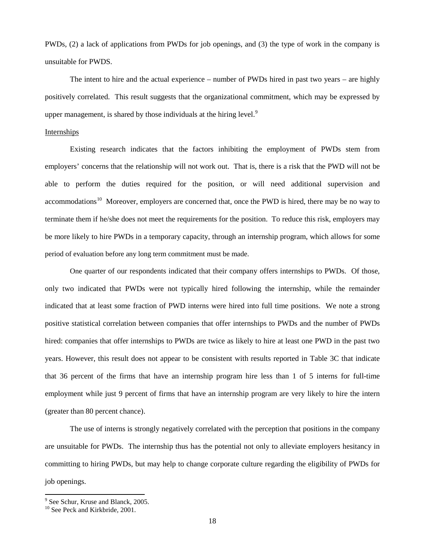PWDs, (2) a lack of applications from PWDs for job openings, and (3) the type of work in the company is unsuitable for PWDS.

The intent to hire and the actual experience – number of PWDs hired in past two years – are highly positively correlated. This result suggests that the organizational commitment, which may be expressed by upper management, is shared by those individuals at the hiring level.<sup>[9](#page-18-0)</sup>

### Internships

Existing research indicates that the factors inhibiting the employment of PWDs stem from employers' concerns that the relationship will not work out. That is, there is a risk that the PWD will not be able to perform the duties required for the position, or will need additional supervision and accommodations<sup>[10](#page-18-1)</sup> Moreover, employers are concerned that, once the PWD is hired, there may be no way to terminate them if he/she does not meet the requirements for the position. To reduce this risk, employers may be more likely to hire PWDs in a temporary capacity, through an internship program, which allows for some period of evaluation before any long term commitment must be made.

One quarter of our respondents indicated that their company offers internships to PWDs. Of those, only two indicated that PWDs were not typically hired following the internship, while the remainder indicated that at least some fraction of PWD interns were hired into full time positions. We note a strong positive statistical correlation between companies that offer internships to PWDs and the number of PWDs hired: companies that offer internships to PWDs are twice as likely to hire at least one PWD in the past two years. However, this result does not appear to be consistent with results reported in Table 3C that indicate that 36 percent of the firms that have an internship program hire less than 1 of 5 interns for full-time employment while just 9 percent of firms that have an internship program are very likely to hire the intern (greater than 80 percent chance).

The use of interns is strongly negatively correlated with the perception that positions in the company are unsuitable for PWDs. The internship thus has the potential not only to alleviate employers hesitancy in committing to hiring PWDs, but may help to change corporate culture regarding the eligibility of PWDs for job openings.

<sup>&</sup>lt;sup>9</sup> See Schur, Kruse and Blanck, 2005.

<span id="page-18-1"></span><span id="page-18-0"></span><sup>&</sup>lt;sup>10</sup> See Peck and Kirkbride, 2001.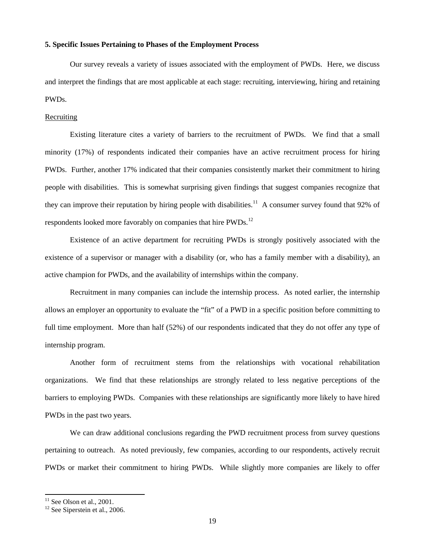### **5. Specific Issues Pertaining to Phases of the Employment Process**

Our survey reveals a variety of issues associated with the employment of PWDs. Here, we discuss and interpret the findings that are most applicable at each stage: recruiting, interviewing, hiring and retaining PWDs.

#### **Recruiting**

Existing literature cites a variety of barriers to the recruitment of PWDs. We find that a small minority (17%) of respondents indicated their companies have an active recruitment process for hiring PWDs. Further, another 17% indicated that their companies consistently market their commitment to hiring people with disabilities. This is somewhat surprising given findings that suggest companies recognize that they can improve their reputation by hiring people with disabilities.<sup>[11](#page-19-0)</sup> A consumer survey found that 92% of respondents looked more favorably on companies that hire PWDs.<sup>[12](#page-19-1)</sup>

Existence of an active department for recruiting PWDs is strongly positively associated with the existence of a supervisor or manager with a disability (or, who has a family member with a disability), an active champion for PWDs, and the availability of internships within the company.

Recruitment in many companies can include the internship process. As noted earlier, the internship allows an employer an opportunity to evaluate the "fit" of a PWD in a specific position before committing to full time employment. More than half (52%) of our respondents indicated that they do not offer any type of internship program.

Another form of recruitment stems from the relationships with vocational rehabilitation organizations. We find that these relationships are strongly related to less negative perceptions of the barriers to employing PWDs. Companies with these relationships are significantly more likely to have hired PWDs in the past two years.

We can draw additional conclusions regarding the PWD recruitment process from survey questions pertaining to outreach. As noted previously, few companies, according to our respondents, actively recruit PWDs or market their commitment to hiring PWDs. While slightly more companies are likely to offer

<span id="page-19-1"></span><span id="page-19-0"></span>

<sup>&</sup>lt;sup>11</sup> See Olson et al., 2001.<br><sup>12</sup> See Siperstein et al., 2006.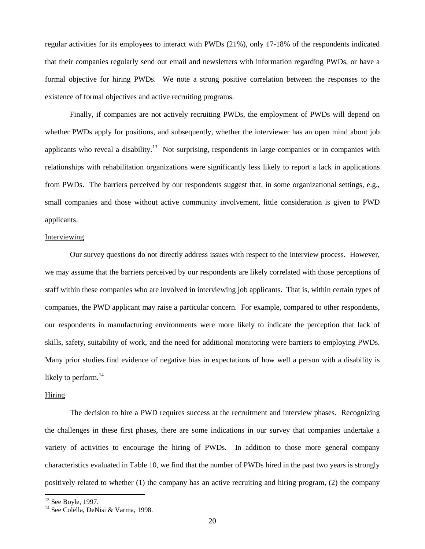regular activities for its employees to interact with PWDs (21%), only 17-18% of the respondents indicated that their companies regularly send out email and newsletters with information regarding PWDs, or have a formal objective for hiring PWDs. We note a strong positive correlation between the responses to the existence of formal objectives and active recruiting programs.

Finally, if companies are not actively recruiting PWDs, the employment of PWDs will depend on whether PWDs apply for positions, and subsequently, whether the interviewer has an open mind about job applicants who reveal a disability.<sup>[13](#page-20-0)</sup> Not surprising, respondents in large companies or in companies with relationships with rehabilitation organizations were significantly less likely to report a lack in applications from PWDs. The barriers perceived by our respondents suggest that, in some organizational settings, e.g., small companies and those without active community involvement, little consideration is given to PWD applicants.

### Interviewing

Our survey questions do not directly address issues with respect to the interview process. However, we may assume that the barriers perceived by our respondents are likely correlated with those perceptions of staff within these companies who are involved in interviewing job applicants. That is, within certain types of companies, the PWD applicant may raise a particular concern. For example, compared to other respondents, our respondents in manufacturing environments were more likely to indicate the perception that lack of skills, safety, suitability of work, and the need for additional monitoring were barriers to employing PWDs. Many prior studies find evidence of negative bias in expectations of how well a person with a disability is likely to perform. $14$ 

### Hiring

The decision to hire a PWD requires success at the recruitment and interview phases. Recognizing the challenges in these first phases, there are some indications in our survey that companies undertake a variety of activities to encourage the hiring of PWDs. In addition to those more general company characteristics evaluated in Table 10, we find that the number of PWDs hired in the past two years is strongly positively related to whether (1) the company has an active recruiting and hiring program, (2) the company

<span id="page-20-1"></span>

<span id="page-20-0"></span><sup>&</sup>lt;sup>13</sup> See Boyle, 1997.<br><sup>14</sup> See Colella, DeNisi & Varma, 1998.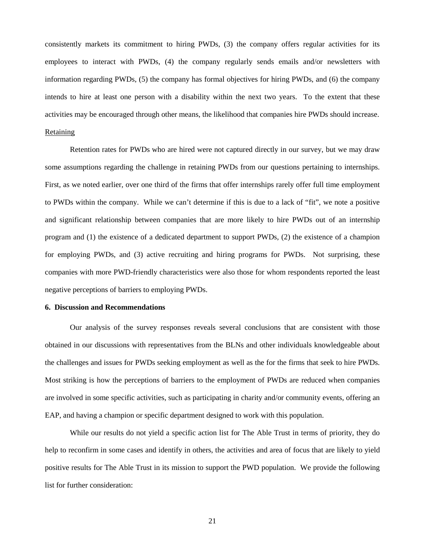consistently markets its commitment to hiring PWDs, (3) the company offers regular activities for its employees to interact with PWDs, (4) the company regularly sends emails and/or newsletters with information regarding PWDs, (5) the company has formal objectives for hiring PWDs, and (6) the company intends to hire at least one person with a disability within the next two years. To the extent that these activities may be encouraged through other means, the likelihood that companies hire PWDs should increase.

### Retaining

Retention rates for PWDs who are hired were not captured directly in our survey, but we may draw some assumptions regarding the challenge in retaining PWDs from our questions pertaining to internships. First, as we noted earlier, over one third of the firms that offer internships rarely offer full time employment to PWDs within the company. While we can't determine if this is due to a lack of "fit", we note a positive and significant relationship between companies that are more likely to hire PWDs out of an internship program and (1) the existence of a dedicated department to support PWDs, (2) the existence of a champion for employing PWDs, and (3) active recruiting and hiring programs for PWDs. Not surprising, these companies with more PWD-friendly characteristics were also those for whom respondents reported the least negative perceptions of barriers to employing PWDs.

### **6. Discussion and Recommendations**

Our analysis of the survey responses reveals several conclusions that are consistent with those obtained in our discussions with representatives from the BLNs and other individuals knowledgeable about the challenges and issues for PWDs seeking employment as well as the for the firms that seek to hire PWDs. Most striking is how the perceptions of barriers to the employment of PWDs are reduced when companies are involved in some specific activities, such as participating in charity and/or community events, offering an EAP, and having a champion or specific department designed to work with this population.

While our results do not yield a specific action list for The Able Trust in terms of priority, they do help to reconfirm in some cases and identify in others, the activities and area of focus that are likely to yield positive results for The Able Trust in its mission to support the PWD population. We provide the following list for further consideration: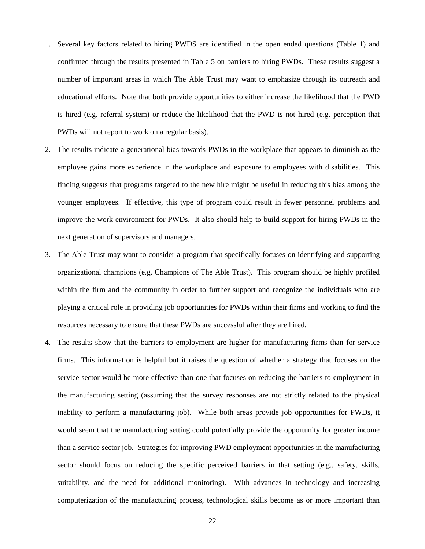- 1. Several key factors related to hiring PWDS are identified in the open ended questions (Table 1) and confirmed through the results presented in Table 5 on barriers to hiring PWDs. These results suggest a number of important areas in which The Able Trust may want to emphasize through its outreach and educational efforts. Note that both provide opportunities to either increase the likelihood that the PWD is hired (e.g. referral system) or reduce the likelihood that the PWD is not hired (e.g, perception that PWDs will not report to work on a regular basis).
- 2. The results indicate a generational bias towards PWDs in the workplace that appears to diminish as the employee gains more experience in the workplace and exposure to employees with disabilities. This finding suggests that programs targeted to the new hire might be useful in reducing this bias among the younger employees. If effective, this type of program could result in fewer personnel problems and improve the work environment for PWDs. It also should help to build support for hiring PWDs in the next generation of supervisors and managers.
- 3. The Able Trust may want to consider a program that specifically focuses on identifying and supporting organizational champions (e.g. Champions of The Able Trust). This program should be highly profiled within the firm and the community in order to further support and recognize the individuals who are playing a critical role in providing job opportunities for PWDs within their firms and working to find the resources necessary to ensure that these PWDs are successful after they are hired.
- 4. The results show that the barriers to employment are higher for manufacturing firms than for service firms. This information is helpful but it raises the question of whether a strategy that focuses on the service sector would be more effective than one that focuses on reducing the barriers to employment in the manufacturing setting (assuming that the survey responses are not strictly related to the physical inability to perform a manufacturing job). While both areas provide job opportunities for PWDs, it would seem that the manufacturing setting could potentially provide the opportunity for greater income than a service sector job. Strategies for improving PWD employment opportunities in the manufacturing sector should focus on reducing the specific perceived barriers in that setting (e.g., safety, skills, suitability, and the need for additional monitoring). With advances in technology and increasing computerization of the manufacturing process, technological skills become as or more important than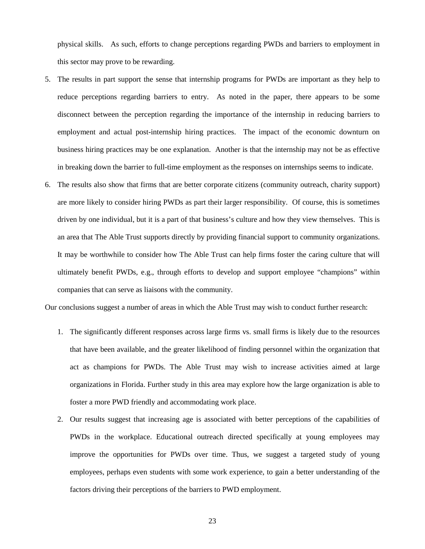physical skills. As such, efforts to change perceptions regarding PWDs and barriers to employment in this sector may prove to be rewarding.

- 5. The results in part support the sense that internship programs for PWDs are important as they help to reduce perceptions regarding barriers to entry. As noted in the paper, there appears to be some disconnect between the perception regarding the importance of the internship in reducing barriers to employment and actual post-internship hiring practices. The impact of the economic downturn on business hiring practices may be one explanation. Another is that the internship may not be as effective in breaking down the barrier to full-time employment as the responses on internships seems to indicate.
- 6. The results also show that firms that are better corporate citizens (community outreach, charity support) are more likely to consider hiring PWDs as part their larger responsibility. Of course, this is sometimes driven by one individual, but it is a part of that business's culture and how they view themselves. This is an area that The Able Trust supports directly by providing financial support to community organizations. It may be worthwhile to consider how The Able Trust can help firms foster the caring culture that will ultimately benefit PWDs, e.g., through efforts to develop and support employee "champions" within companies that can serve as liaisons with the community.

Our conclusions suggest a number of areas in which the Able Trust may wish to conduct further research:

- 1. The significantly different responses across large firms vs. small firms is likely due to the resources that have been available, and the greater likelihood of finding personnel within the organization that act as champions for PWDs. The Able Trust may wish to increase activities aimed at large organizations in Florida. Further study in this area may explore how the large organization is able to foster a more PWD friendly and accommodating work place.
- 2. Our results suggest that increasing age is associated with better perceptions of the capabilities of PWDs in the workplace. Educational outreach directed specifically at young employees may improve the opportunities for PWDs over time. Thus, we suggest a targeted study of young employees, perhaps even students with some work experience, to gain a better understanding of the factors driving their perceptions of the barriers to PWD employment.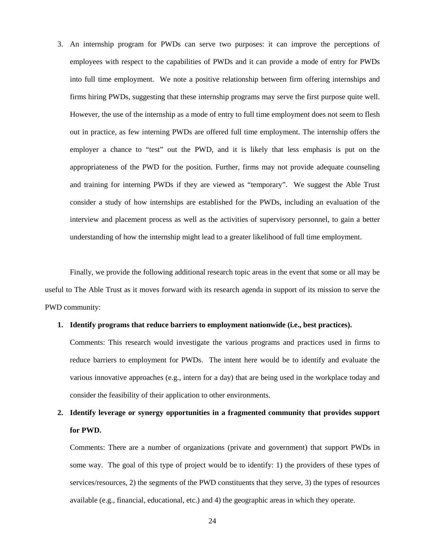3. An internship program for PWDs can serve two purposes: it can improve the perceptions of employees with respect to the capabilities of PWDs and it can provide a mode of entry for PWDs into full time employment. We note a positive relationship between firm offering internships and firms hiring PWDs, suggesting that these internship programs may serve the first purpose quite well. However, the use of the internship as a mode of entry to full time employment does not seem to flesh out in practice, as few interning PWDs are offered full time employment. The internship offers the employer a chance to "test" out the PWD, and it is likely that less emphasis is put on the appropriateness of the PWD for the position. Further, firms may not provide adequate counseling and training for interning PWDs if they are viewed as "temporary". We suggest the Able Trust consider a study of how internships are established for the PWDs, including an evaluation of the interview and placement process as well as the activities of supervisory personnel, to gain a better understanding of how the internship might lead to a greater likelihood of full time employment.

Finally, we provide the following additional research topic areas in the event that some or all may be useful to The Able Trust as it moves forward with its research agenda in support of its mission to serve the PWD community:

### **1. Identify programs that reduce barriers to employment nationwide (i.e., best practices).**

Comments: This research would investigate the various programs and practices used in firms to reduce barriers to employment for PWDs. The intent here would be to identify and evaluate the various innovative approaches (e.g., intern for a day) that are being used in the workplace today and consider the feasibility of their application to other environments.

### **2. Identify leverage or synergy opportunities in a fragmented community that provides support for PWD.**

Comments: There are a number of organizations (private and government) that support PWDs in some way. The goal of this type of project would be to identify: 1) the providers of these types of services/resources, 2) the segments of the PWD constituents that they serve, 3) the types of resources available (e.g., financial, educational, etc.) and 4) the geographic areas in which they operate.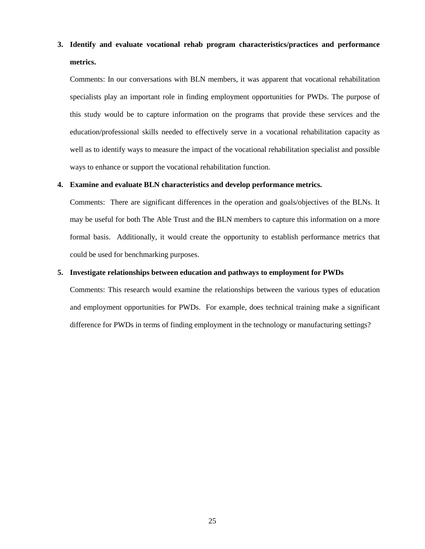### **3. Identify and evaluate vocational rehab program characteristics/practices and performance metrics.**

Comments: In our conversations with BLN members, it was apparent that vocational rehabilitation specialists play an important role in finding employment opportunities for PWDs. The purpose of this study would be to capture information on the programs that provide these services and the education/professional skills needed to effectively serve in a vocational rehabilitation capacity as well as to identify ways to measure the impact of the vocational rehabilitation specialist and possible ways to enhance or support the vocational rehabilitation function.

### **4. Examine and evaluate BLN characteristics and develop performance metrics.**

Comments: There are significant differences in the operation and goals/objectives of the BLNs. It may be useful for both The Able Trust and the BLN members to capture this information on a more formal basis. Additionally, it would create the opportunity to establish performance metrics that could be used for benchmarking purposes.

### **5. Investigate relationships between education and pathways to employment for PWDs**

Comments: This research would examine the relationships between the various types of education and employment opportunities for PWDs. For example, does technical training make a significant difference for PWDs in terms of finding employment in the technology or manufacturing settings?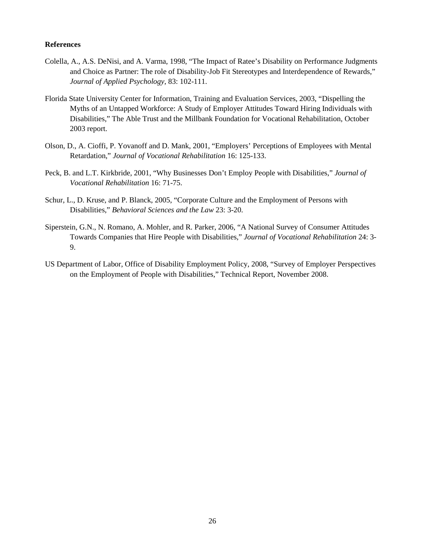### **References**

- Colella, A., A.S. DeNisi, and A. Varma, 1998, "The Impact of Ratee's Disability on Performance Judgments and Choice as Partner: The role of Disability-Job Fit Stereotypes and Interdependence of Rewards," *Journal of Applied Psychology*, 83: 102-111.
- Florida State University Center for Information, Training and Evaluation Services, 2003, "Dispelling the Myths of an Untapped Workforce: A Study of Employer Attitudes Toward Hiring Individuals with Disabilities," The Able Trust and the Millbank Foundation for Vocational Rehabilitation, October 2003 report.
- Olson, D., A. Cioffi, P. Yovanoff and D. Mank, 2001, "Employers' Perceptions of Employees with Mental Retardation," *Journal of Vocational Rehabilitation* 16: 125-133.
- Peck, B. and L.T. Kirkbride, 2001, "Why Businesses Don't Employ People with Disabilities," *Journal of Vocational Rehabilitation* 16: 71-75.
- Schur, L., D. Kruse, and P. Blanck, 2005, "Corporate Culture and the Employment of Persons with Disabilities," *Behavioral Sciences and the Law* 23: 3-20.
- Siperstein, G.N., N. Romano, A. Mohler, and R. Parker, 2006, "A National Survey of Consumer Attitudes Towards Companies that Hire People with Disabilities," *Journal of Vocational Rehabilitation* 24: 3- 9.
- US Department of Labor, Office of Disability Employment Policy, 2008, "Survey of Employer Perspectives on the Employment of People with Disabilities," Technical Report, November 2008.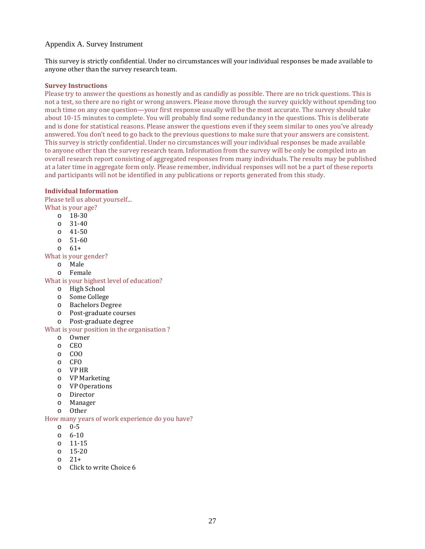### Appendix A. Survey Instrument

This survey is strictly confidential. Under no circumstances will your individual responses be made available to anyone other than the survey research team.

### **Survey Instructions**

Please try to answer the questions as honestly and as candidly as possible. There are no trick questions. This is not a test, so there are no right or wrong answers. Please move through the survey quickly without spending too much time on any one question—your first response usually will be the most accurate. The survey should take about 10-15 minutes to complete. You will probably find some redundancy in the questions. This is deliberate and is done for statistical reasons. Please answer the questions even if they seem similar to ones you've already answered. You don't need to go back to the previous questions to make sure that your answers are consistent. This survey is strictly confidential. Under no circumstances will your individual responses be made available to anyone other than the survey research team. Information from the survey will be only be compiled into an overall research report consisting of aggregated responses from many individuals. The results may be published at a later time in aggregate form only. Please remember, individual responses will not be a part of these reports and participants will not be identified in any publications or reports generated from this study.

### **Individual Information**

Please tell us about yourself... What is your age?

- $\frac{0}{2}$  18-30
- $31 40$
- o 41-50
- o 51-60
- o 61+

What is your gender?

- o Male
- o Female

What is your highest level of education?

- o High School
- o Some College
- **Bachelors Degree**
- o Post-graduate courses
- o Post-graduate degree
- What is your position in the organisation ?
	- o Owner
	- o CEO
	- o COO
	- o CFO
	-
	- o VP HR VP Marketing
	- o VP Operations
	- o Director
	- o Manager
	- o Other

How many years of work experience do you have?

- o 0-5
- o 6-10
- o 11-15
- o 15-20
- o 21+
- o Click to write Choice 6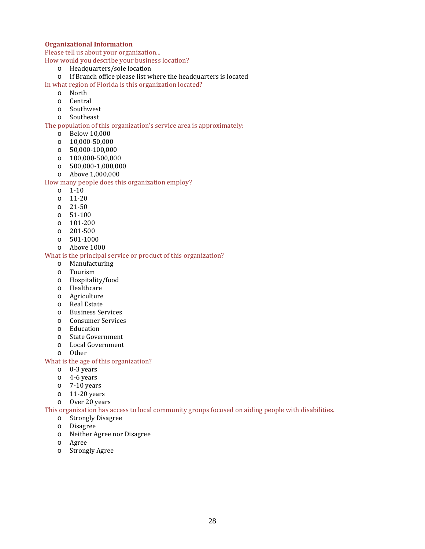### **Organizational Information**

Please tell us about your organization...

How would you describe your business location?

- o Headquarters/sole location
- If Branch office please list where the headquarters is located

In what region of Florida is this organization located?

- o North
- o Central
- o Southwest
- Southeast

The population of this organization's service area is approximately:

- o Below 10,000
- o 10,000-50,000
- o 50,000-100,000
- 
- $\circ$  100,000-500,000<br> $\circ$  500,000-1,000,00 o 500,000-1,000,000
- o Above 1,000,000

### How many people does this organization employ?

- o 1-10
- o 11-20
- o 21-50
- o 51-100
- o 101-200
- o 201-500
- o 501-1000
- o Above 1000

### What is the principal service or product of this organization?

- o Manufacturing
- o Tourism
- o Hospitality/food
- o Healthcare
- o Agriculture
- o Real Estate<br>
o Business Se
- **Business Services**
- o Consumer Services
- o Education<br>
o State Gove
- State Government
- o Local Government
- o Other

### What is the age of this organization?

- o 0-3 years
- o 4-6 years
- o 7-10 years
- o 11-20 years
- o Over 20 years

## This organization has access to local community groups focused on aiding people with disabilities.<br>
o Strongly Disagree

- o Strongly Disagree
- o Disagree
- Neither Agree nor Disagree
- o Agree
- **Strongly Agree**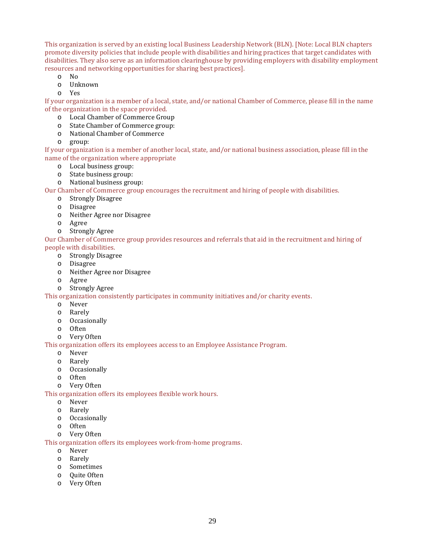This organization is served by an existing local Business Leadership Network (BLN). [Note: Local BLN chapters promote diversity policies that include people with disabilities and hiring practices that target candidates with disabilities. They also serve as an information clearinghouse by providing employers with disability employment resources and networking opportunities for sharing best practices].

- o No
- o Unknown
- o Yes

If your organization is a member of a local, state, and/or national Chamber of Commerce, please fill in the name of the organization in the space provided.

- o Local Chamber of Commerce Group
- o State Chamber of Commerce group:<br>
o National Chamber of Commerce
- National Chamber of Commerce
- o group:

If your organization is a member of another local, state, and/or national business association, please fill in the name of the organization where appropriate

- o Local business group:
- o State business group:
- o National business group:

Our Chamber of Commerce group encourages the recruitment and hiring of people with disabilities.

- o Strongly Disagree
- o Disagree
- o Neither Agree nor Disagree
- o Agree<br>o Strong
- Strongly Agree

Our Chamber of Commerce group provides resources and referrals that aid in the recruitment and hiring of people with disabilities.

- o Strongly Disagree
- o Disagree
- o Neither Agree nor Disagree
- o Agree
- Strongly Agree

This organization consistently participates in community initiatives and/or charity events.

- o Never
- o Rarely
- o Occasionally
- o Often
- o Very Often

This organization offers its employees access to an Employee Assistance Program.

- o Never
- o Rarely
- o Occasionally
- o Often
- o Very Often

This organization offers its employees flexible work hours.

- o Never
- o Rarely
- $\circ$  Occasionally
- **Often**
- o Very Often

This organization offers its employees work-from-home programs.

- o Never
- o Rarely
- o Sometimes
- o Quite Often
- o Very Often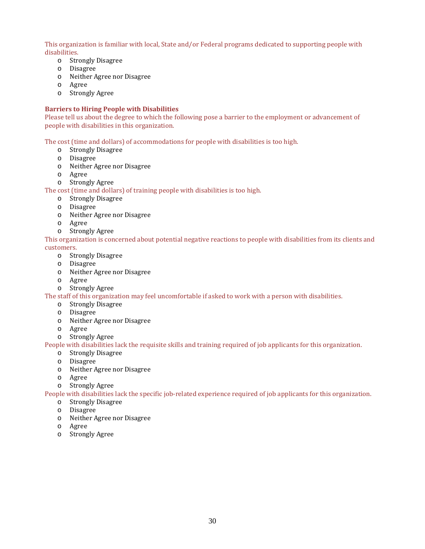This organization is familiar with local, State and/or Federal programs dedicated to supporting people with disabilities.

- o Strongly Disagree
- o Disagree
- o Neither Agree nor Disagree
- o Agree
- o Strongly Agree

### **Barriers to Hiring People with Disabilities**

Please tell us about the degree to which the following pose a barrier to the employment or advancement of people with disabilities in this organization.

The cost (time and dollars) of accommodations for people with disabilities is too high.

- o Strongly Disagree
- o Disagree
- o Neither Agree nor Disagree
- o Agree
- o Strongly Agree

The cost (time and dollars) of training people with disabilities is too high.

- o Strongly Disagree
- o Disagree
- o Neither Agree nor Disagree
- o Agree
- o Strongly Agree

This organization is concerned about potential negative reactions to people with disabilities from its clients and customers.

- o Strongly Disagree
- o Disagree
- o Neither Agree nor Disagree
- o Agree
- o Strongly Agree

The staff of this organization may feel uncomfortable if asked to work with a person with disabilities.

- o Strongly Disagree
- o Disagree
- o Neither Agree nor Disagree
- o Agree
- o Strongly Agree

People with disabilities lack the requisite skills and training required of job applicants for this organization.

- o Strongly Disagree
- o Disagree
- o Neither Agree nor Disagree
- o Agree
- o Strongly Agree

People with disabilities lack the specific job-related experience required of job applicants for this organization.

- o Strongly Disagree
- o Disagree
- o Neither Agree nor Disagree
- o Agree
- o Strongly Agree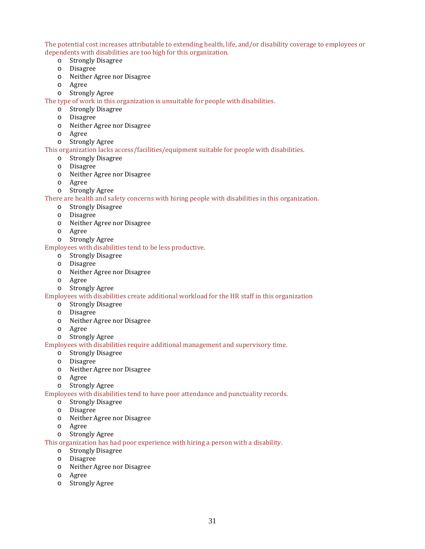The potential cost increases attributable to extending health, life, and/or disability coverage to employees or dependents with disabilities are too high for this organization.<br>
o Strongly Disagree

- Strongly Disagree
- o Disagree
- o Neither Agree nor Disagree
- o Agree
- o Strongly Agree

The type of work in this organization is unsuitable for people with disabilities.

- o Strongly Disagree
- o Disagree
- o Neither Agree nor Disagree
- o Agree
- o Strongly Agree

This organization lacks access/facilities/equipment suitable for people with disabilities.

- o Strongly Disagree
- o Disagree
- o Neither Agree nor Disagree
- o Agree
- o Strongly Agree

There are health and safety concerns with hiring people with disabilities in this organization.

- o Strongly Disagree
- o Disagree
- o Neither Agree nor Disagree
- o Agree
- o Strongly Agree

Employees with disabilities tend to be less productive.

- o Strongly Disagree
- o Disagree
- o Neither Agree nor Disagree
- o Agree
- o Strongly Agree

### Employees with disabilities create additional workload for the HR staff in this organization

- o Strongly Disagree
- o Disagree
- o Neither Agree nor Disagree
- o Agree
- o Strongly Agree

Employees with disabilities require additional management and supervisory time.

- o Strongly Disagree
- o Disagree
- o Neither Agree nor Disagree
- o Agree
- o Strongly Agree

Employees with disabilities tend to have poor attendance and punctuality records.

- o Strongly Disagree
- o Disagree
- o Neither Agree nor Disagree
- o Agree
- o Strongly Agree

This organization has had poor experience with hiring a person with a disability.

- o Strongly Disagree
- o Disagree
- o Neither Agree nor Disagree
- o Agree
- o Strongly Agree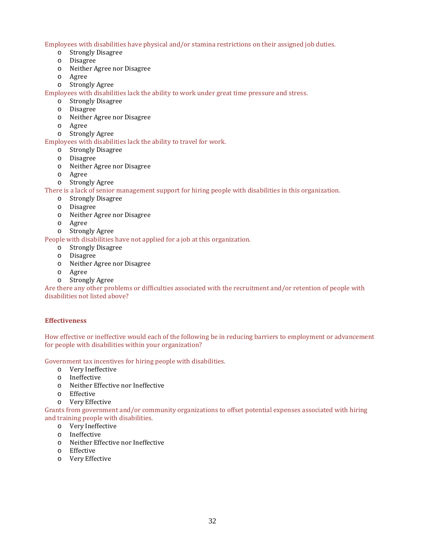Employees with disabilities have physical and/or stamina restrictions on their assigned job duties.

- o Strongly Disagree
- o Disagree
- o Neither Agree nor Disagree
- o Agree
- o Strongly Agree

Employees with disabilities lack the ability to work under great time pressure and stress.

- o Strongly Disagree
- o Disagree
- o Neither Agree nor Disagree
- o Agree
- o Strongly Agree

Employees with disabilities lack the ability to travel for work.

- o Strongly Disagree
- o Disagree
- o Neither Agree nor Disagree
- o Agree
- o Strongly Agree

There is a lack of senior management support for hiring people with disabilities in this organization.

- o Strongly Disagree
- o Disagree
- o Neither Agree nor Disagree
- o Agree
- o Strongly Agree

People with disabilities have not applied for a job at this organization.

- o Strongly Disagree
- o Disagree
- o Neither Agree nor Disagree
- o Agree
- Strongly Agree

Are there any other problems or difficulties associated with the recruitment and/or retention of people with disabilities not listed above?

### **Effectiveness**

How effective or ineffective would each of the following be in reducing barriers to employment or advancement for people with disabilities within your organization?

Government tax incentives for hiring people with disabilities.

- o Very Ineffective
- o Ineffective
- o Neither Effective nor Ineffective
- o Effective
- o Very Effective

Grants from government and/or community organizations to offset potential expenses associated with hiring and training people with disabilities.

- o Very Ineffective
- o Ineffective
- o Neither Effective nor Ineffective
- o Effective
- o Very Effective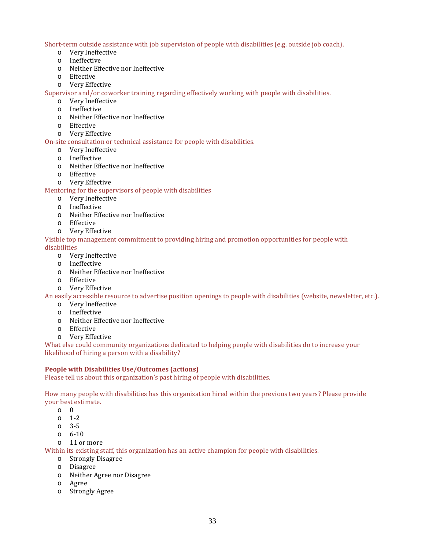Short-term outside assistance with job supervision of people with disabilities (e.g. outside job coach).

- o Very Ineffective
- o Ineffective
- o Neither Effective nor Ineffective
- o Effective
- o Very Effective

Supervisor and/or coworker training regarding effectively working with people with disabilities.

- o Very Ineffective
- o Ineffective
- o Neither Effective nor Ineffective
- o Effective
- o Very Effective

On-site consultation or technical assistance for people with disabilities.

- o Very Ineffective
- o Ineffective
- o Neither Effective nor Ineffective
- o Effective
- o Very Effective

Mentoring for the supervisors of people with disabilities

- o Very Ineffective
- o Ineffective
- o Neither Effective nor Ineffective
- o Effective
- o Very Effective

Visible top management commitment to providing hiring and promotion opportunities for people with

### disabilities

- o Very Ineffective
- o Ineffective
- o Neither Effective nor Ineffective
- o Effective
- o Very Effective

An easily accessible resource to advertise position openings to people with disabilities (website, newsletter, etc.).

- o Very Ineffective
- o Ineffective
- o Neither Effective nor Ineffective
- o Effective
- o Very Effective

What else could community organizations dedicated to helping people with disabilities do to increase your likelihood of hiring a person with a disability?

### **People with Disabilities Use/Outcomes (actions)**

Please tell us about this organization's past hiring of people with disabilities.

How many people with disabilities has this organization hired within the previous two years? Please provide your best estimate.

- o 0
- o 1-2
- o 3-5
- o 6-10
- o 11 or more

Within its existing staff, this organization has an active champion for people with disabilities.

- o Strongly Disagree
- o Disagree
- o Neither Agree nor Disagree
- o Agree
- o Strongly Agree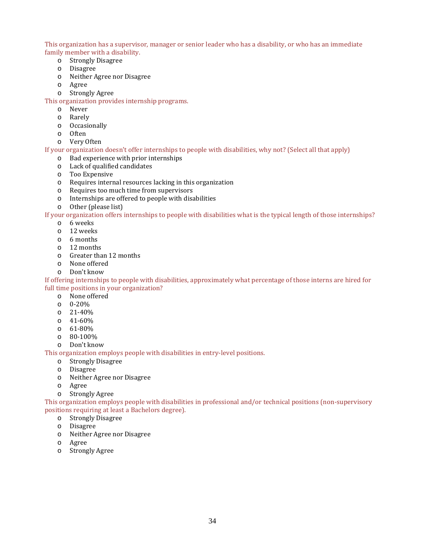This organization has a supervisor, manager or senior leader who has a disability, or who has an immediate family member with a disability.

- Strongly Disagree
- o Disagree
- o Neither Agree nor Disagree
- o Agree
- o Strongly Agree

This organization provides internship programs.

- o Never
- o Rarely
- o Occasionally
- **Often**
- o Very Often

If your organization doesn't offer internships to people with disabilities, why not? (Select all that apply)

- o Bad experience with prior internships
- o Lack of qualified candidates
- o Too Expensive
- $\circ$  Requires internal resources lacking in this organization<br>  $\circ$  Requires too much time from supervisors
- Requires too much time from supervisors
- o Internships are offered to people with disabilities o Other (please list)
- Other (please list)

If your organization offers internships to people with disabilities what is the typical length of those internships?

- o 6 weeks
	- o 12 weeks
	- o 6 months
	- o 12 months
	- o Greater than 12 months
	- o None offered
	- o Don't know

If offering internships to people with disabilities, approximately what percentage of those interns are hired for full time positions in your organization?

- o None offered
- o 0-20%
- o 21-40%
- o 41-60%
- $\frac{61-80\%}{80-100\%}$
- o 80-100%
- o Don't know

This organization employs people with disabilities in entry-level positions.

- o Strongly Disagree
- **Disagree**
- o Neither Agree nor Disagree
- o Agree
- o Strongly Agree

This organization employs people with disabilities in professional and/or technical positions (non-supervisory positions requiring at least a Bachelors degree).

- o Strongly Disagree
- **Disagree**
- o Neither Agree nor Disagree
- o Agree
- o Strongly Agree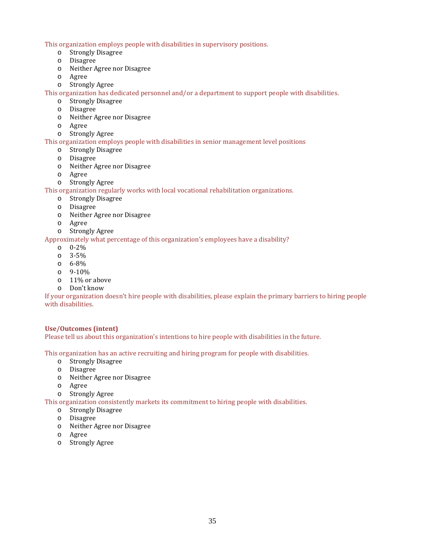This organization employs people with disabilities in supervisory positions.

- o Strongly Disagree
- o Disagree
- o Neither Agree nor Disagree
- o Agree
- o Strongly Agree

This organization has dedicated personnel and/or a department to support people with disabilities.

- o Strongly Disagree
- o Disagree
- o Neither Agree nor Disagree
- o Agree
- o Strongly Agree

This organization employs people with disabilities in senior management level positions

- o Strongly Disagree
- o Disagree
- o Neither Agree nor Disagree
- o Agree
- o Strongly Agree

This organization regularly works with local vocational rehabilitation organizations.

- o Strongly Disagree
- o Disagree
- o Neither Agree nor Disagree
- o Agree
- o Strongly Agree

Approximately what percentage of this organization's employees have a disability?

- o 0-2%
- o 3-5%
- o 6-8%
- o 9-10%
- o 11% or above
- o Don't know

If your organization doesn't hire people with disabilities, please explain the primary barriers to hiring people with disabilities.

### **Use/Outcomes (intent)**

Please tell us about this organization's intentions to hire people with disabilities in the future.

This organization has an active recruiting and hiring program for people with disabilities.

- o Strongly Disagree
- o Disagree
- o Neither Agree nor Disagree
- o Agree
- o Strongly Agree

This organization consistently markets its commitment to hiring people with disabilities.

- o Strongly Disagree
- o Disagree
- o Neither Agree nor Disagree
- o Agree
- o Strongly Agree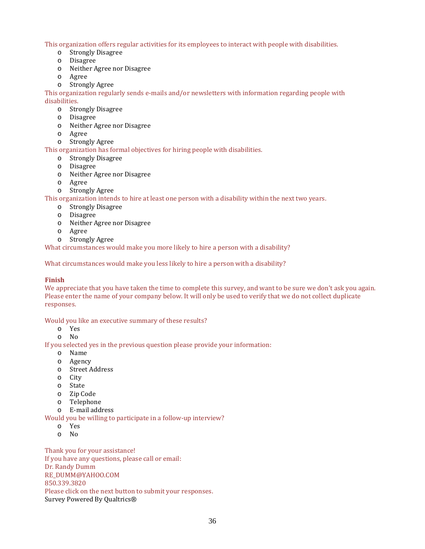This organization offers regular activities for its employees to interact with people with disabilities.

- o Strongly Disagree
- o Disagree
- o Neither Agree nor Disagree
- o Agree
- o Strongly Agree

This organization regularly sends e-mails and/or newsletters with information regarding people with disabilities.

- o Strongly Disagree
- o Disagree
- o Neither Agree nor Disagree
- o Agree
- o Strongly Agree

This organization has formal objectives for hiring people with disabilities.

- o Strongly Disagree
- o Disagree
- o Neither Agree nor Disagree
- o Agree
- o Strongly Agree

This organization intends to hire at least one person with a disability within the next two years.

- o Strongly Disagree
- o Disagree
- o Neither Agree nor Disagree
- o Agree
- o Strongly Agree

What circumstances would make you more likely to hire a person with a disability?

What circumstances would make you less likely to hire a person with a disability?

### **Finish**

We appreciate that you have taken the time to complete this survey, and want to be sure we don't ask you again. Please enter the name of your company below. It will only be used to verify that we do not collect duplicate responses.

Would you like an executive summary of these results?

- o Yes
- o No

If you selected yes in the previous question please provide your information:

- o Name
- o Agency
- o Street Address
- o City
- o State
- o Zip Code
- o Telephone
- o E-mail address

Would you be willing to participate in a follow-up interview?

- o Yes
- o No

Thank you for your assistance! If you have any questions, please call or email: Dr. Randy Dumm RE\_DUMM@YAHOO.COM 850.339.3820 Please click on the next button to submit your responses. Survey Powered By Qualtrics®